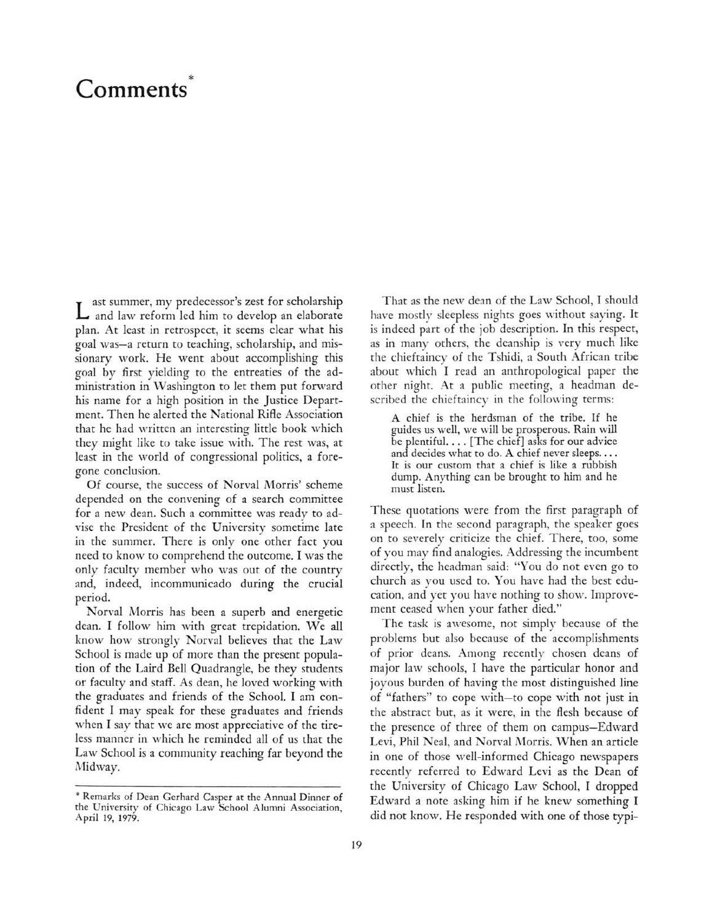## \* Comments

Last summer, my predecessor's zest for scholarship and law reform led him to develop an elaborate plan. At least in retrospect, it seems clear what his goal was-a return to teaching, scholarship, and missionary work. He went about accomplishing this goal by first yielding to the entreaties of the administration in Washington to let them put forward his name for <sup>a</sup> high position in the Justice Department. Then he alerted the National Rifle Association that he had written an interesting little book which they might like to take issue with. The rest was, at least in the world of congressional politics, <sup>a</sup> foregone conclusion.

Of course, the success of Norval Morris' scheme depended on the convening of <sup>a</sup> search committee for <sup>a</sup> new dean. Such <sup>a</sup> committee was ready to advise the President of the University sometime late in the summer. There is only one other fact you need to know to comprehend the outcome. I was the only faculty member who was out of the country and, indeed, incommunicado during the crucial period.

Norval Morris has been <sup>a</sup> superb and energetic dean. I follow him with great trepidation. We all know how strongly Norval believes that the Law School is made up of more than the present population of the Laird Bell Quadrangle, be they students or faculty and staff. As dean, he loved working with the graduates and friends of the School. I am confident I may speak for these graduates and friends when I say that we are most appreciative of the tireless manner in which he reminded all of us that the Law School is <sup>a</sup> community reaching far beyond the Midway.

That as the new dean of the Law School, I should have mostly sleepless nights goes without saying. It is indeed part of the job description. In this respect, as in many others, the deanship is very much like the chieftaincy of the Tshidi, <sup>a</sup> South African tribe about which I read an anthropological paper the other night. At <sup>a</sup> public meeting, <sup>a</sup> headman described the chieftaincy in the following terms:

A chief is the herdsman of the tribe. If he guides us well, we will be prosperous. Rain will be plentiful. ... [The chief] asks for our advice and decides what to do. A chief never sleeps.... It is our custom that <sup>a</sup> chief is like <sup>a</sup> rubbish dump. Anything can be brought to him and he must listen.

These quotations were from the first paragraph of <sup>a</sup> speech. In the second paragraph, the speaker goes on to severely criticize the chief. There, too, some of you may find analogies. Addressing the incumbent directly, the headman said: "You do not even go to church as you used to. You have had the best education, and yet you have nothing to show. Improvement ceased when your father died."

The task is awesome, not simply because of the problems but also because of the accomplishments of prior deans. Among recently chosen deans of major law schools, I have the particular honor and joyous burden of having the most distinguished line of "fathers" to cope with-to cope with not just in the abstract but, as it were, in the flesh because of the presence of three of them on campus-Edward Levi, Phil Neal, and Norval Morris. When an article in one of those well-informed Chicago newspapers recently referred to Edward Levi as the Dean of the University of Chicago Law School, I dropped Edward <sup>a</sup> note asking him if he knew something I did not know. He responded with one of those typi-

<sup>\*</sup> Remarks of Dean Gerhard Casper at the Annual Dinner of the University of Chicago Law School Alumni Association, April 19, 1979.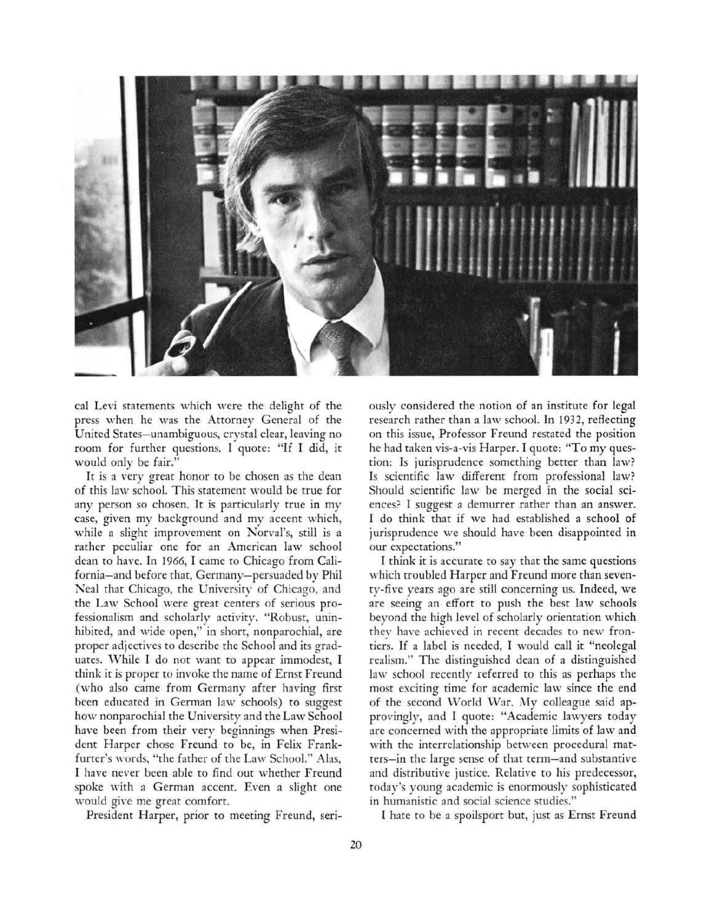

cal Levi statements which were the delight of the press when he was the Attorney General of the United States-unambiguous, crystal clear, leaving no room for further questions. I quote: "If I did, it would only be fair."

It is <sup>a</sup> very great honor to be chosen as the dean of this law school. This statement would be true for any person so chosen. It is particularly true in my case, given my background and my accent which, while <sup>a</sup> slight improvement on Norval's, still is <sup>a</sup> rather peculiar one for an American law school dean to have. In 1966, I came to Chicago from California-and before that, Germany-persuaded by Phil Neal that Chicago, the University of Chicago, and the Law School were great centers of serious professionalism and scholarly activity. "Robust, uninhibited, and wide open," in short, nonparochial, are proper adjectives to describe the School and its graduates. While I do not want to appear immodest, I think it is proper to invoke the name of Ernst Freund (who also came from Germany after having first been educated in German law schools) to suggest how nonparochial the University and the Law School have been from their very beginnings when President Harper chose Freund to be, in Felix Frankfurter's words, "the father of the Law School." Alas, I have never been able to find out whether Freund spoke with <sup>a</sup> German accent. Even <sup>a</sup> slight one would give me great comfort.

President Harper, prior to meeting Freund, seri-

ously considered the notion of an institute for legal research rather than <sup>a</sup> law school. In 1932, reflecting on this issue, Professor Freund restated the position he had taken vis-a-vis Harper. I quote: "To my question: Is jurisprudence something better than law? Is scientific law different from professional law? Should scientific law be merged in the social sciences? I suggest <sup>a</sup> demurrer rather than an answer. I do think that if we had established <sup>a</sup> school of jurisprudence we should have been disappointed in our expectations."

I think it is accurate to say that the same questions which troubled Harper and Freund more than seventy-five years ago are still concerning us. Indeed, we are seeing an effort to push the best law schools beyond the high level of scholarly orientation which they have achieved in recent decades to new frontiers. If <sup>a</sup> label is needed, I would call it "neolegal realism." The distinguished dean of <sup>a</sup> distinguished law school recently referred to this as perhaps the most exciting time for academic law since the end of the second World War. My colleague said approvingly, and I quote: "Academic lawyers today are concerned with the appropriate limits of law and with the interrelationship between procedural matters-in the large sense of that term-and substantive and distributive justice. Relative to his predecessor, today's young academic is enormously sophisticated in humanistic and social science studies."

I hate to be <sup>a</sup> spoilsport but, just as Ernst Freund